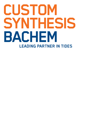# **CUSTOM SYNTHESISLEADING PARTNER IN TIDES**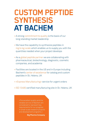### **CUSTOM PEPTIDE SYNTHESIS AT BACHEM**

- A strong commitment to quality is the basis of our long-standing market leadership
- We have the capability to synthesize peptides in mg to kg-scale which enables us to supply you with the quantities needed when your project develops
- As a global peptide partner we are collaborating with pharmaceutical, biotechnology, diagnostic, cosmetic companies, and academia
- Facilities are located in the US and in Europe including Bachem's center of excellence for catalog and custom peptides in St. Helens, UK
- «Express Manufacturing» service for urgent orders
- ISO 13485 certified manufacturing site in St. Helens, UK

«The excellent quality and the reliable service of Bachem are considered to represent key requirements for our progress in small-scale research projects and development programs.»

**Big Pharma Company**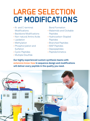## **LARGE SELECTION OF MODIFICATIONS**

- N- and C-terminal Modifications
- Backbone Modifications
- Non-natural Amino Acids
- Lipidation
- Methylation
- Phosphorylation and Sulfation
- Cyclic Peptides
- Multiple Disulfide

Bond Formation

- Maleimido and Clickable Peptides
- Hydrocarbon-Stapled Peptides
- Branched Peptides
- MAP Peptides
- Depsipeptides
- Peptidomimetics

**Our highly experienced custom synthesis teams with extensive know-how in sequence design and modifications will deliver every peptide in the quality you need.**

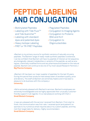### **PEPTIDE LABELING AND CONJUGATION**

- Biotinylated Peptides
- $\cdot$  Labeling with Tide Fluor<sup>TM</sup> and Tide Quencher™
- Labeling with standard dyes and patented dyes
- Heavy Isotope Labeling
- FRET or TR-FRET Peptides
- Pegylated Peptides
- Conjugation to Imaging Agents
- Conjugation to Proteins: **BSA and KLH**
- Conjugation to **Oligonucleotides**

«Bachem is my primary source for synthetic versions of naturally occuring peptides. The Bachem range of ready-made synthetic peptides is extensive. I can be confident that Bachem will have my peptide of interest as full sequence, any biologically-relevant metabolites or variants of the peptide, as well as analogues, chemically modified forms and any pharmaceutical based on the natural peptide. Bachem will continue to be one of my most valued Research Partners.» **Big Pharma Company**

«Bachem UK has been our major supplier of peptides for the last 33 years. During this period their products have always been of excellent quality, price and delivery. The staff at Bachem are extremely helpful and it has been a pleasure to do business with this company.» **University** 

«We're extremely pleased with Bachem's services. Bachem's employees are extremely knowledgeable and we highly appreciate their unusually customerfriendly support in all regards. It is a real pleasure working with them.» **Small Biotech Company**

«I was very pleased with the service I received from Bachem. From start to finish, the communication was first-rate. I received quick (and patient!) responses to my numerous email inquiries about my custom peptide, and they met their target date for delivery. Highly recommended.» **Small Biotech Company**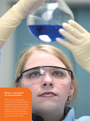#### **Bachem - your partner for custom peptides.**

When your requirements advance from research scale to process development and cGMP manufacturing, we are ready to support you with our framework of cGMP production facilities and dedicated regulatory affairs staff.